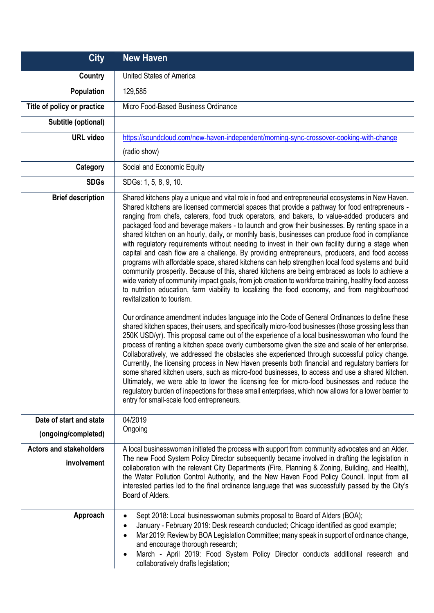| <b>City</b>                                               | <b>New Haven</b>                                                                                                                                                                                                                                                                                                                                                                                                                                                                                                                                                                                                                                                                                                                                                                                                                                                                                                                                                                                                                                                                                                                                                                                                                                                                                                                                                                                                                                                                                                                                                                                                                                                                                                                                                                                                                                                                                                                                                                                                                                                                                                                       |
|-----------------------------------------------------------|----------------------------------------------------------------------------------------------------------------------------------------------------------------------------------------------------------------------------------------------------------------------------------------------------------------------------------------------------------------------------------------------------------------------------------------------------------------------------------------------------------------------------------------------------------------------------------------------------------------------------------------------------------------------------------------------------------------------------------------------------------------------------------------------------------------------------------------------------------------------------------------------------------------------------------------------------------------------------------------------------------------------------------------------------------------------------------------------------------------------------------------------------------------------------------------------------------------------------------------------------------------------------------------------------------------------------------------------------------------------------------------------------------------------------------------------------------------------------------------------------------------------------------------------------------------------------------------------------------------------------------------------------------------------------------------------------------------------------------------------------------------------------------------------------------------------------------------------------------------------------------------------------------------------------------------------------------------------------------------------------------------------------------------------------------------------------------------------------------------------------------------|
| Country                                                   | <b>United States of America</b>                                                                                                                                                                                                                                                                                                                                                                                                                                                                                                                                                                                                                                                                                                                                                                                                                                                                                                                                                                                                                                                                                                                                                                                                                                                                                                                                                                                                                                                                                                                                                                                                                                                                                                                                                                                                                                                                                                                                                                                                                                                                                                        |
| Population                                                | 129,585                                                                                                                                                                                                                                                                                                                                                                                                                                                                                                                                                                                                                                                                                                                                                                                                                                                                                                                                                                                                                                                                                                                                                                                                                                                                                                                                                                                                                                                                                                                                                                                                                                                                                                                                                                                                                                                                                                                                                                                                                                                                                                                                |
| Title of policy or practice                               | Micro Food-Based Business Ordinance                                                                                                                                                                                                                                                                                                                                                                                                                                                                                                                                                                                                                                                                                                                                                                                                                                                                                                                                                                                                                                                                                                                                                                                                                                                                                                                                                                                                                                                                                                                                                                                                                                                                                                                                                                                                                                                                                                                                                                                                                                                                                                    |
| Subtitle (optional)                                       |                                                                                                                                                                                                                                                                                                                                                                                                                                                                                                                                                                                                                                                                                                                                                                                                                                                                                                                                                                                                                                                                                                                                                                                                                                                                                                                                                                                                                                                                                                                                                                                                                                                                                                                                                                                                                                                                                                                                                                                                                                                                                                                                        |
| <b>URL</b> video                                          | https://soundcloud.com/new-haven-independent/morning-sync-crossover-cooking-with-change                                                                                                                                                                                                                                                                                                                                                                                                                                                                                                                                                                                                                                                                                                                                                                                                                                                                                                                                                                                                                                                                                                                                                                                                                                                                                                                                                                                                                                                                                                                                                                                                                                                                                                                                                                                                                                                                                                                                                                                                                                                |
|                                                           | (radio show)                                                                                                                                                                                                                                                                                                                                                                                                                                                                                                                                                                                                                                                                                                                                                                                                                                                                                                                                                                                                                                                                                                                                                                                                                                                                                                                                                                                                                                                                                                                                                                                                                                                                                                                                                                                                                                                                                                                                                                                                                                                                                                                           |
| Category                                                  | Social and Economic Equity                                                                                                                                                                                                                                                                                                                                                                                                                                                                                                                                                                                                                                                                                                                                                                                                                                                                                                                                                                                                                                                                                                                                                                                                                                                                                                                                                                                                                                                                                                                                                                                                                                                                                                                                                                                                                                                                                                                                                                                                                                                                                                             |
| <b>SDGs</b>                                               | SDGs: 1, 5, 8, 9, 10.                                                                                                                                                                                                                                                                                                                                                                                                                                                                                                                                                                                                                                                                                                                                                                                                                                                                                                                                                                                                                                                                                                                                                                                                                                                                                                                                                                                                                                                                                                                                                                                                                                                                                                                                                                                                                                                                                                                                                                                                                                                                                                                  |
| <b>Brief description</b>                                  | Shared kitchens play a unique and vital role in food and entrepreneurial ecosystems in New Haven.<br>Shared kitchens are licensed commercial spaces that provide a pathway for food entrepreneurs -<br>ranging from chefs, caterers, food truck operators, and bakers, to value-added producers and<br>packaged food and beverage makers - to launch and grow their businesses. By renting space in a<br>shared kitchen on an hourly, daily, or monthly basis, businesses can produce food in compliance<br>with regulatory requirements without needing to invest in their own facility during a stage when<br>capital and cash flow are a challenge. By providing entrepreneurs, producers, and food access<br>programs with affordable space, shared kitchens can help strengthen local food systems and build<br>community prosperity. Because of this, shared kitchens are being embraced as tools to achieve a<br>wide variety of community impact goals, from job creation to workforce training, healthy food access<br>to nutrition education, farm viability to localizing the food economy, and from neighbourhood<br>revitalization to tourism.<br>Our ordinance amendment includes language into the Code of General Ordinances to define these<br>shared kitchen spaces, their users, and specifically micro-food businesses (those grossing less than<br>250K USD/yr). This proposal came out of the experience of a local businesswoman who found the<br>process of renting a kitchen space overly cumbersome given the size and scale of her enterprise.<br>Collaboratively, we addressed the obstacles she experienced through successful policy change.<br>Currently, the licensing process in New Haven presents both financial and regulatory barriers for<br>some shared kitchen users, such as micro-food businesses, to access and use a shared kitchen.<br>Ultimately, we were able to lower the licensing fee for micro-food businesses and reduce the<br>regulatory burden of inspections for these small enterprises, which now allows for a lower barrier to<br>entry for small-scale food entrepreneurs. |
| Date of start and state<br>(ongoing/completed)            | 04/2019<br>Ongoing                                                                                                                                                                                                                                                                                                                                                                                                                                                                                                                                                                                                                                                                                                                                                                                                                                                                                                                                                                                                                                                                                                                                                                                                                                                                                                                                                                                                                                                                                                                                                                                                                                                                                                                                                                                                                                                                                                                                                                                                                                                                                                                     |
| <b>Actors and stakeholders</b><br>involvement<br>Approach | A local businesswoman initiated the process with support from community advocates and an Alder.<br>The new Food System Policy Director subsequently became involved in drafting the legislation in<br>collaboration with the relevant City Departments (Fire, Planning & Zoning, Building, and Health),<br>the Water Pollution Control Authority, and the New Haven Food Policy Council. Input from all<br>interested parties led to the final ordinance language that was successfully passed by the City's<br>Board of Alders.<br>Sept 2018: Local businesswoman submits proposal to Board of Alders (BOA);                                                                                                                                                                                                                                                                                                                                                                                                                                                                                                                                                                                                                                                                                                                                                                                                                                                                                                                                                                                                                                                                                                                                                                                                                                                                                                                                                                                                                                                                                                                          |
|                                                           | January - February 2019: Desk research conducted; Chicago identified as good example;<br>$\bullet$<br>Mar 2019: Review by BOA Legislation Committee; many speak in support of ordinance change,<br>and encourage thorough research;<br>March - April 2019: Food System Policy Director conducts additional research and<br>collaboratively drafts legislation;                                                                                                                                                                                                                                                                                                                                                                                                                                                                                                                                                                                                                                                                                                                                                                                                                                                                                                                                                                                                                                                                                                                                                                                                                                                                                                                                                                                                                                                                                                                                                                                                                                                                                                                                                                         |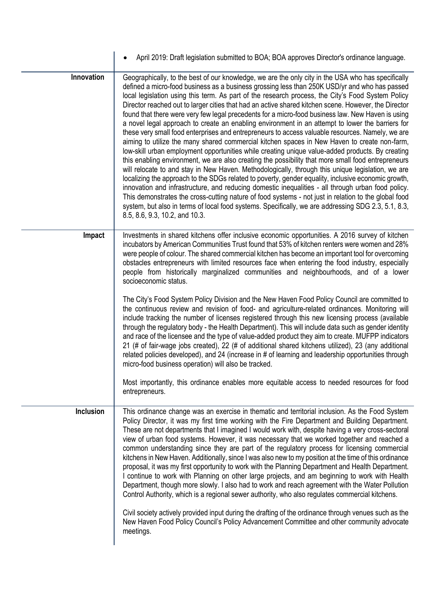|                  | April 2019: Draft legislation submitted to BOA; BOA approves Director's ordinance language.                                                                                                                                                                                                                                                                                                                                                                                                                                                                                                                                                                                                                                                                                                                                                                                                                                                                                                                                                                                                                                                                                                                                                                                                                                                                                                                                                                                                                                                                                                                |
|------------------|------------------------------------------------------------------------------------------------------------------------------------------------------------------------------------------------------------------------------------------------------------------------------------------------------------------------------------------------------------------------------------------------------------------------------------------------------------------------------------------------------------------------------------------------------------------------------------------------------------------------------------------------------------------------------------------------------------------------------------------------------------------------------------------------------------------------------------------------------------------------------------------------------------------------------------------------------------------------------------------------------------------------------------------------------------------------------------------------------------------------------------------------------------------------------------------------------------------------------------------------------------------------------------------------------------------------------------------------------------------------------------------------------------------------------------------------------------------------------------------------------------------------------------------------------------------------------------------------------------|
| Innovation       | Geographically, to the best of our knowledge, we are the only city in the USA who has specifically<br>defined a micro-food business as a business grossing less than 250K USD/yr and who has passed<br>local legislation using this term. As part of the research process, the City's Food System Policy<br>Director reached out to larger cities that had an active shared kitchen scene. However, the Director<br>found that there were very few legal precedents for a micro-food business law. New Haven is using<br>a novel legal approach to create an enabling environment in an attempt to lower the barriers for<br>these very small food enterprises and entrepreneurs to access valuable resources. Namely, we are<br>aiming to utilize the many shared commercial kitchen spaces in New Haven to create non-farm,<br>low-skill urban employment opportunities while creating unique value-added products. By creating<br>this enabling environment, we are also creating the possibility that more small food entrepreneurs<br>will relocate to and stay in New Haven. Methodologically, through this unique legislation, we are<br>localizing the approach to the SDGs related to poverty, gender equality, inclusive economic growth,<br>innovation and infrastructure, and reducing domestic inequalities - all through urban food policy.<br>This demonstrates the cross-cutting nature of food systems - not just in relation to the global food<br>system, but also in terms of local food systems. Specifically, we are addressing SDG 2.3, 5.1, 8.3,<br>8.5, 8.6, 9.3, 10.2, and 10.3. |
| Impact           | Investments in shared kitchens offer inclusive economic opportunities. A 2016 survey of kitchen<br>incubators by American Communities Trust found that 53% of kitchen renters were women and 28%<br>were people of colour. The shared commercial kitchen has become an important tool for overcoming<br>obstacles entrepreneurs with limited resources face when entering the food industry, especially<br>people from historically marginalized communities and neighbourhoods, and of a lower<br>socioeconomic status.                                                                                                                                                                                                                                                                                                                                                                                                                                                                                                                                                                                                                                                                                                                                                                                                                                                                                                                                                                                                                                                                                   |
|                  | The City's Food System Policy Division and the New Haven Food Policy Council are committed to<br>the continuous review and revision of food- and agriculture-related ordinances. Monitoring will<br>include tracking the number of licenses registered through this new licensing process (available<br>through the regulatory body - the Health Department). This will include data such as gender identity<br>and race of the licensee and the type of value-added product they aim to create. MUFPP indicators<br>21 (# of fair-wage jobs created), 22 (# of additional shared kitchens utilized), 23 (any additional<br>related policies developed), and 24 (increase in # of learning and leadership opportunities through<br>micro-food business operation) will also be tracked.                                                                                                                                                                                                                                                                                                                                                                                                                                                                                                                                                                                                                                                                                                                                                                                                                    |
|                  | Most importantly, this ordinance enables more equitable access to needed resources for food<br>entrepreneurs.                                                                                                                                                                                                                                                                                                                                                                                                                                                                                                                                                                                                                                                                                                                                                                                                                                                                                                                                                                                                                                                                                                                                                                                                                                                                                                                                                                                                                                                                                              |
| <b>Inclusion</b> | This ordinance change was an exercise in thematic and territorial inclusion. As the Food System<br>Policy Director, it was my first time working with the Fire Department and Building Department.<br>These are not departments that I imagined I would work with, despite having a very cross-sectoral<br>view of urban food systems. However, it was necessary that we worked together and reached a<br>common understanding since they are part of the regulatory process for licensing commercial<br>kitchens in New Haven. Additionally, since I was also new to my position at the time of this ordinance<br>proposal, it was my first opportunity to work with the Planning Department and Health Department.<br>I continue to work with Planning on other large projects, and am beginning to work with Health<br>Department, though more slowly. I also had to work and reach agreement with the Water Pollution<br>Control Authority, which is a regional sewer authority, who also regulates commercial kitchens.<br>Civil society actively provided input during the drafting of the ordinance through venues such as the                                                                                                                                                                                                                                                                                                                                                                                                                                                                      |
|                  | New Haven Food Policy Council's Policy Advancement Committee and other community advocate<br>meetings.                                                                                                                                                                                                                                                                                                                                                                                                                                                                                                                                                                                                                                                                                                                                                                                                                                                                                                                                                                                                                                                                                                                                                                                                                                                                                                                                                                                                                                                                                                     |